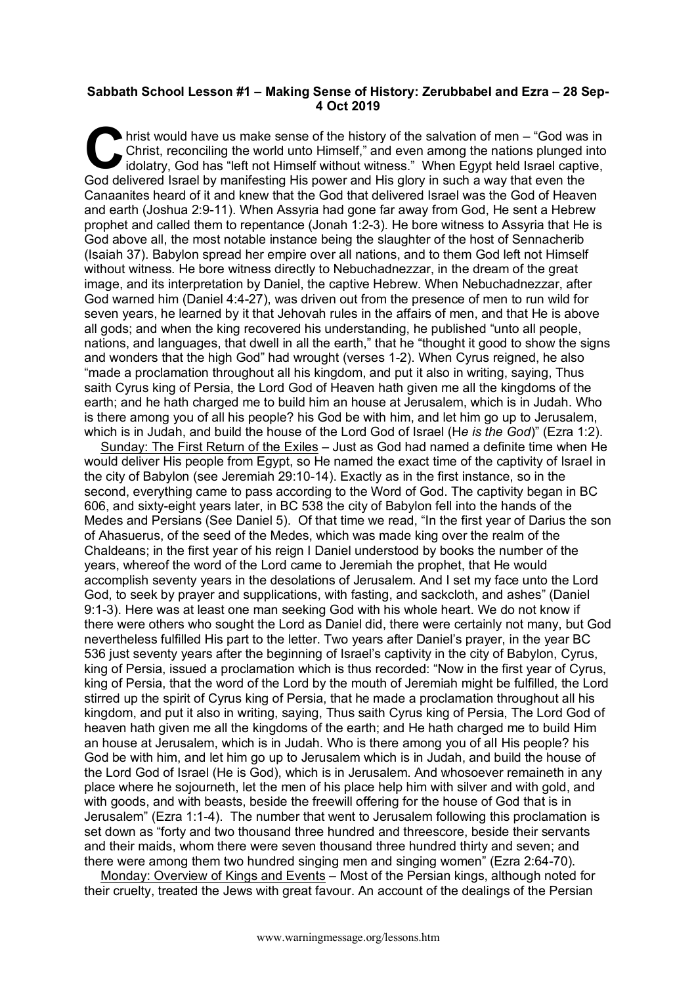## **Sabbath School Lesson #1 – Making Sense of History: Zerubbabel and Ezra – 28 Sep-4 Oct 2019**

hrist would have us make sense of the history of the salvation of men – "God was in Christ, reconciling the world unto Himself," and even among the nations plunged into idolatry, God has "left not Himself without witness." Christ, reconciling the world unto Himself," and even among the nations plunged into idolatry, God has "left not Himself without witness." When Egypt held Israel captive, God delivered Israel by manifesting His power and His glory in such a way that even the Canaanites heard of it and knew that the God that delivered Israel was the God of Heaven and earth (Joshua 2:9-11). When Assyria had gone far away from God, He sent a Hebrew prophet and called them to repentance (Jonah 1:2-3). He bore witness to Assyria that He is God above all, the most notable instance being the slaughter of the host of Sennacherib (Isaiah 37). Babylon spread her empire over all nations, and to them God left not Himself without witness. He bore witness directly to Nebuchadnezzar, in the dream of the great image, and its interpretation by Daniel, the captive Hebrew. When Nebuchadnezzar, after God warned him (Daniel 4:4-27), was driven out from the presence of men to run wild for seven years, he learned by it that Jehovah rules in the affairs of men, and that He is above all gods; and when the king recovered his understanding, he published "unto all people, nations, and languages, that dwell in all the earth," that he "thought it good to show the signs and wonders that the high God" had wrought (verses 1-2). When Cyrus reigned, he also "made a proclamation throughout all his kingdom, and put it also in writing, saying, Thus saith Cyrus king of Persia, the Lord God of Heaven hath given me all the kingdoms of the earth; and he hath charged me to build him an house at Jerusalem, which is in Judah. Who is there among you of all his people? his God be with him, and let him go up to Jerusalem, which is in Judah, and build the house of the Lord God of Israel (H*e is the God*)" (Ezra 1:2).

Sunday: The First Return of the Exiles – Just as God had named a definite time when He would deliver His people from Egypt, so He named the exact time of the captivity of Israel in the city of Babylon (see Jeremiah 29:10-14). Exactly as in the first instance, so in the second, everything came to pass according to the Word of God. The captivity began in BC 606, and sixty-eight years later, in BC 538 the city of Babylon fell into the hands of the Medes and Persians (See Daniel 5). Of that time we read, "In the first year of Darius the son of Ahasuerus, of the seed of the Medes, which was made king over the realm of the Chaldeans; in the first year of his reign I Daniel understood by books the number of the years, whereof the word of the Lord came to Jeremiah the prophet, that He would accomplish seventy years in the desolations of Jerusalem. And I set my face unto the Lord God, to seek by prayer and supplications, with fasting, and sackcloth, and ashes" (Daniel 9:1-3). Here was at least one man seeking God with his whole heart. We do not know if there were others who sought the Lord as Daniel did, there were certainly not many, but God nevertheless fulfilled His part to the letter. Two years after Daniel's prayer, in the year BC 536 just seventy years after the beginning of Israel's captivity in the city of Babylon, Cyrus, king of Persia, issued a proclamation which is thus recorded: "Now in the first year of Cyrus, king of Persia, that the word of the Lord by the mouth of Jeremiah might be fulfilled, the Lord stirred up the spirit of Cyrus king of Persia, that he made a proclamation throughout all his kingdom, and put it also in writing, saying, Thus saith Cyrus king of Persia, The Lord God of heaven hath given me all the kingdoms of the earth; and He hath charged me to build Him an house at Jerusalem, which is in Judah. Who is there among you of alI His people? his God be with him, and let him go up to Jerusalem which is in Judah, and build the house of the Lord God of Israel (He is God), which is in Jerusalem. And whosoever remaineth in any place where he sojourneth, let the men of his place help him with silver and with gold, and with goods, and with beasts, beside the freewill offering for the house of God that is in Jerusalem" (Ezra 1:1-4). The number that went to Jerusalem following this proclamation is set down as "forty and two thousand three hundred and threescore, beside their servants and their maids, whom there were seven thousand three hundred thirty and seven; and there were among them two hundred singing men and singing women" (Ezra 2:64-70).

Monday: Overview of Kings and Events – Most of the Persian kings, although noted for their cruelty, treated the Jews with great favour. An account of the dealings of the Persian